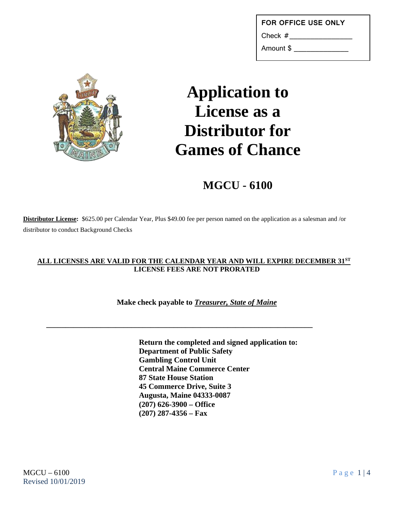| <b>FOR OFFICE USE ONLY</b> |  |  |  |
|----------------------------|--|--|--|
|----------------------------|--|--|--|

Check #

Amount \$ \_\_\_\_\_\_\_\_\_\_\_\_\_



## **Application to License as a Distributor for Games of Chance**

**MGCU - 6100**

**Distributor License:** \$625.00 per Calendar Year, Plus \$49.00 fee per person named on the application as a salesman and /or distributor to conduct Background Checks

## **ALL LICENSES ARE VALID FOR THE CALENDAR YEAR AND WILL EXPIRE DECEMBER 31ST LICENSE FEES ARE NOT PRORATED**

**Make check payable to** *Treasurer, State of Maine*

**\_\_\_\_\_\_\_\_\_\_\_\_\_\_\_\_\_\_\_\_\_\_\_\_\_\_\_\_\_\_\_\_\_\_\_\_\_\_\_\_\_\_\_\_\_\_\_\_\_\_\_\_\_\_\_\_\_\_\_\_\_\_\_\_\_\_\_\_\_**

**Return the completed and signed application to: Department of Public Safety Gambling Control Unit Central Maine Commerce Center 87 State House Station 45 Commerce Drive, Suite 3 Augusta, Maine 04333-0087 (207) 626-3900 – Office (207) 287-4356 – Fax**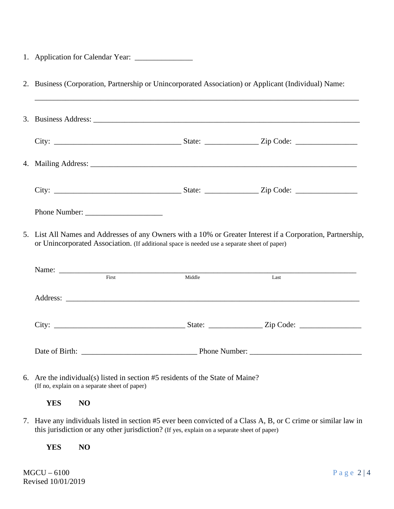|  | 1. Application for Calendar Year: |  |
|--|-----------------------------------|--|
|--|-----------------------------------|--|

|                                               |                                                                                              |  | 2. Business (Corporation, Partnership or Unincorporated Association) or Applicant (Individual) Name:           |
|-----------------------------------------------|----------------------------------------------------------------------------------------------|--|----------------------------------------------------------------------------------------------------------------|
|                                               |                                                                                              |  |                                                                                                                |
|                                               |                                                                                              |  |                                                                                                                |
|                                               |                                                                                              |  |                                                                                                                |
|                                               |                                                                                              |  |                                                                                                                |
|                                               |                                                                                              |  |                                                                                                                |
|                                               | or Unincorporated Association. (If additional space is needed use a separate sheet of paper) |  | 5. List All Names and Addresses of any Owners with a 10% or Greater Interest if a Corporation, Partnership,    |
|                                               |                                                                                              |  |                                                                                                                |
|                                               | Name: First Middle                                                                           |  | Last                                                                                                           |
|                                               |                                                                                              |  |                                                                                                                |
|                                               |                                                                                              |  |                                                                                                                |
|                                               |                                                                                              |  |                                                                                                                |
| (If no, explain on a separate sheet of paper) | 6. Are the individual(s) listed in section #5 residents of the State of Maine?               |  |                                                                                                                |
| <b>YES</b><br>NO                              |                                                                                              |  |                                                                                                                |
|                                               | this jurisdiction or any other jurisdiction? (If yes, explain on a separate sheet of paper)  |  | 7. Have any individuals listed in section #5 ever been convicted of a Class A, B, or C crime or similar law in |

**YES NO**

 $MGCU - 6100$  Page 2 | 4 Revised 10/01/2019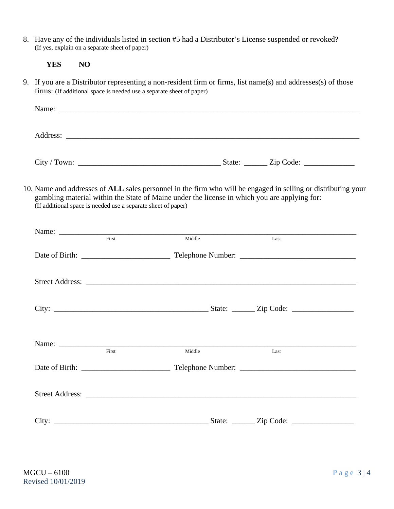8. Have any of the individuals listed in section #5 had a Distributor's License suspended or revoked? (If yes, explain on a separate sheet of paper)

9. If you are a Distributor representing a non-resident firm or firms, list name(s) and addresses(s) of those firms: (If additional space is needed use a separate sheet of paper)

| Name:<br><u> 1990 - Johann Barn, mars ann an t-Amhraid ann an t-Amhraid ann an t-Amhraid ann an t-Amhraid ann an t-Amhraid ann an t-Amhraid ann an t-Amhraid ann an t-Amhraid ann an t-Amhraid ann an t-Amhraid ann an t-Amhraid ann an t</u> |                                   |  |
|-----------------------------------------------------------------------------------------------------------------------------------------------------------------------------------------------------------------------------------------------|-----------------------------------|--|
|                                                                                                                                                                                                                                               |                                   |  |
| Address:                                                                                                                                                                                                                                      |                                   |  |
|                                                                                                                                                                                                                                               |                                   |  |
|                                                                                                                                                                                                                                               |                                   |  |
|                                                                                                                                                                                                                                               | State: <u>_____</u> Zip Code: ___ |  |

10. Name and addresses of **ALL** sales personnel in the firm who will be engaged in selling or distributing your gambling material within the State of Maine under the license in which you are applying for: (If additional space is needed use a separate sheet of paper)

| $\overline{First}$ | Middle                                                                                                                                                                                                                                  | Last |
|--------------------|-----------------------------------------------------------------------------------------------------------------------------------------------------------------------------------------------------------------------------------------|------|
|                    |                                                                                                                                                                                                                                         |      |
|                    |                                                                                                                                                                                                                                         |      |
|                    |                                                                                                                                                                                                                                         |      |
| $\overline{First}$ | Name: Name: Name: Name: Name: Name: Name: Name: Name: Name: Name: Name: Name: Name: Name: Name: Name: Name: Name: Name: Name: Name: Name: Name: Name: Name: Name: Name: Name: Name: Name: Name: Name: Name: Name: Name: Name:<br>Middle | Last |
|                    |                                                                                                                                                                                                                                         |      |
|                    |                                                                                                                                                                                                                                         |      |
|                    |                                                                                                                                                                                                                                         |      |
|                    |                                                                                                                                                                                                                                         |      |